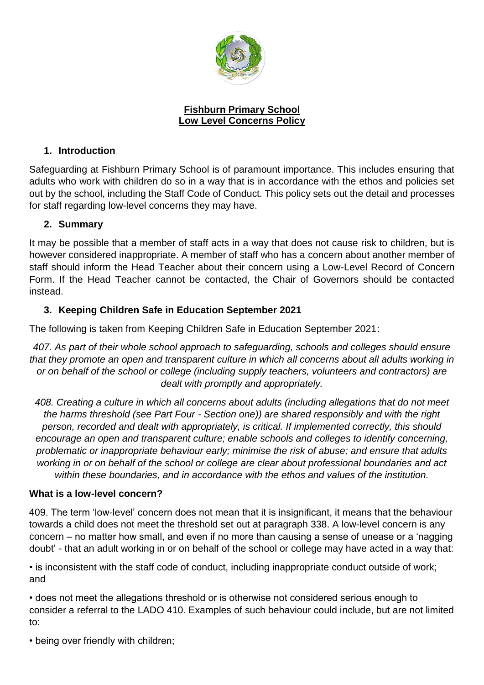

### **Fishburn Primary School Low Level Concerns Policy**

# **1. Introduction**

Safeguarding at Fishburn Primary School is of paramount importance. This includes ensuring that adults who work with children do so in a way that is in accordance with the ethos and policies set out by the school, including the Staff Code of Conduct. This policy sets out the detail and processes for staff regarding low-level concerns they may have.

### **2. Summary**

It may be possible that a member of staff acts in a way that does not cause risk to children, but is however considered inappropriate. A member of staff who has a concern about another member of staff should inform the Head Teacher about their concern using a Low-Level Record of Concern Form. If the Head Teacher cannot be contacted, the Chair of Governors should be contacted instead.

# **3. Keeping Children Safe in Education September 2021**

The following is taken from Keeping Children Safe in Education September 2021:

*407. As part of their whole school approach to safeguarding, schools and colleges should ensure that they promote an open and transparent culture in which all concerns about all adults working in or on behalf of the school or college (including supply teachers, volunteers and contractors) are dealt with promptly and appropriately.*

*408. Creating a culture in which all concerns about adults (including allegations that do not meet the harms threshold (see Part Four - Section one)) are shared responsibly and with the right person, recorded and dealt with appropriately, is critical. If implemented correctly, this should encourage an open and transparent culture; enable schools and colleges to identify concerning, problematic or inappropriate behaviour early; minimise the risk of abuse; and ensure that adults working in or on behalf of the school or college are clear about professional boundaries and act within these boundaries, and in accordance with the ethos and values of the institution.*

### **What is a low-level concern?**

409. The term 'low-level' concern does not mean that it is insignificant, it means that the behaviour towards a child does not meet the threshold set out at paragraph 338. A low-level concern is any concern – no matter how small, and even if no more than causing a sense of unease or a 'nagging doubt' - that an adult working in or on behalf of the school or college may have acted in a way that:

• is inconsistent with the staff code of conduct, including inappropriate conduct outside of work; and

• does not meet the allegations threshold or is otherwise not considered serious enough to consider a referral to the LADO 410. Examples of such behaviour could include, but are not limited to:

• being over friendly with children;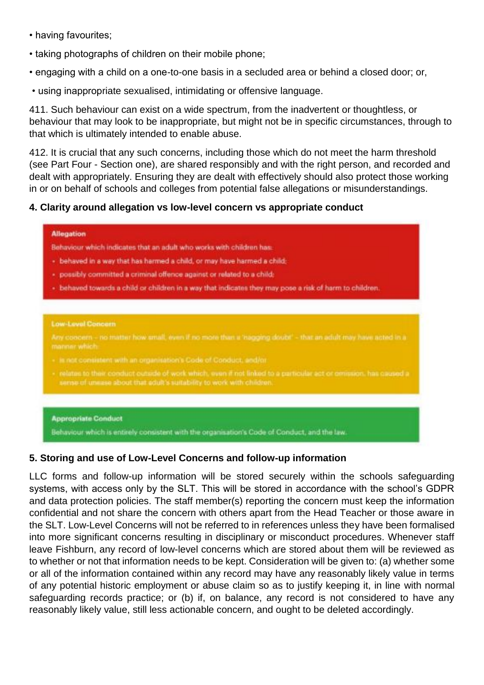- having favourites;
- taking photographs of children on their mobile phone;
- engaging with a child on a one-to-one basis in a secluded area or behind a closed door; or,
- using inappropriate sexualised, intimidating or offensive language.

411. Such behaviour can exist on a wide spectrum, from the inadvertent or thoughtless, or behaviour that may look to be inappropriate, but might not be in specific circumstances, through to that which is ultimately intended to enable abuse.

412. It is crucial that any such concerns, including those which do not meet the harm threshold (see Part Four - Section one), are shared responsibly and with the right person, and recorded and dealt with appropriately. Ensuring they are dealt with effectively should also protect those working in or on behalf of schools and colleges from potential false allegations or misunderstandings.

# **4. Clarity around allegation vs low-level concern vs appropriate conduct**

#### **Allegation**

Behaviour which indicates that an adult who works with children has:

- behaved in a way that has harmed a child, or may have harmed a child:
- · possibly committed a criminal offence against or related to a child:
- behaved towards a child or children in a way that indicates they may pose a risk of harm to children.

#### **Low-Level Concern**

Any coocern - no matter how small, even if no more than a 'hagging doubl' - that an adult may have acted in a

- 
- relates to their conduct outside of work which, even if not linked to a particular act or omission, has caused a sense of unesse about that edult's suitability to work with children

#### **Appropriate Conduct**

Behaviour which is entirely consistent with the organisation's Code of Conduct, and the law.

### **5. Storing and use of Low-Level Concerns and follow-up information**

LLC forms and follow-up information will be stored securely within the schools safeguarding systems, with access only by the SLT. This will be stored in accordance with the school's GDPR and data protection policies. The staff member(s) reporting the concern must keep the information confidential and not share the concern with others apart from the Head Teacher or those aware in the SLT. Low-Level Concerns will not be referred to in references unless they have been formalised into more significant concerns resulting in disciplinary or misconduct procedures. Whenever staff leave Fishburn, any record of low-level concerns which are stored about them will be reviewed as to whether or not that information needs to be kept. Consideration will be given to: (a) whether some or all of the information contained within any record may have any reasonably likely value in terms of any potential historic employment or abuse claim so as to justify keeping it, in line with normal safeguarding records practice; or (b) if, on balance, any record is not considered to have any reasonably likely value, still less actionable concern, and ought to be deleted accordingly.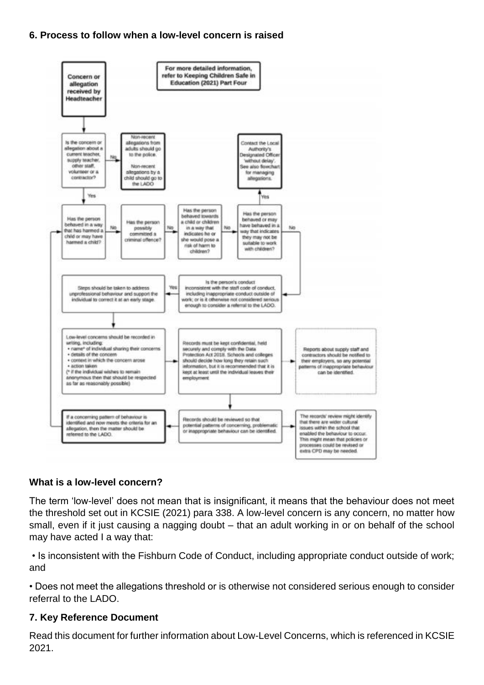### **6. Process to follow when a low-level concern is raised**



### **What is a low-level concern?**

The term 'low-level' does not mean that is insignificant, it means that the behaviour does not meet the threshold set out in KCSIE (2021) para 338. A low-level concern is any concern, no matter how small, even if it just causing a nagging doubt – that an adult working in or on behalf of the school may have acted I a way that:

• Is inconsistent with the Fishburn Code of Conduct, including appropriate conduct outside of work; and

• Does not meet the allegations threshold or is otherwise not considered serious enough to consider referral to the LADO.

### **7. Key Reference Document**

Read this document for further information about Low-Level Concerns, which is referenced in KCSIE 2021.